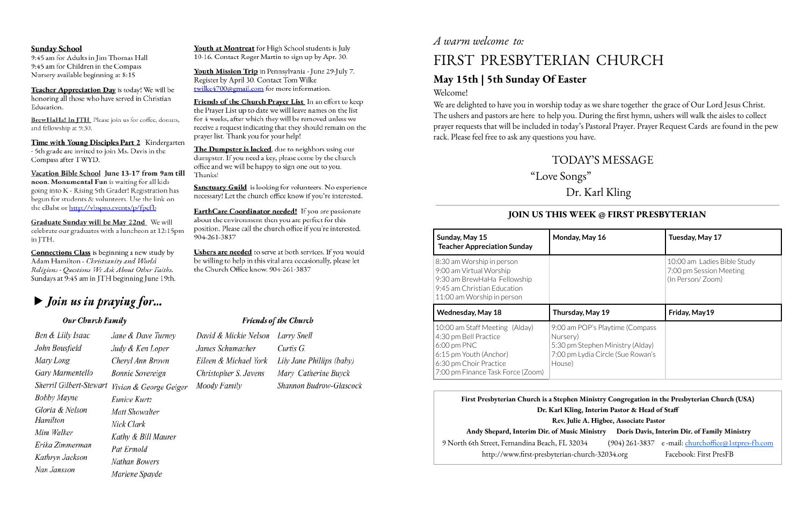### **Sunday School**

9:45 am for Adults in Jim Thomas Hall 9:45 am for Children in the Compass Nursery available beginning at 8:15

Teacher Appreciation Day is today! We will be honoring all those who have served in Christian Education.

BrewHaHa! In JTH\_Please join us for coffee, donuts, and fellowship at 9:30.

Time with Young Disciples Part 2 Kindergarten - 5th grade are invited to join Ms. Davis in the Compass after TWYD.

Vacation Bible School June 13-17 from 9am till noon. Monumental Fun is waiting for all kids going into K - Rising 5th Grader! Registration has begun for students & volunteers. Use the link on the eBalst or http://vbspro.events/p/fpcfb

Graduate Sunday will be May 22nd We will celebrate our graduates with a luncheon at 12:15pm in JTH.

**Connections Class** is beginning a new study by Adam Hamilton - Christianity and World Religions - Questions We Ask About Other Faiths. Sundays at 9:45 am in JTH beginning June 19th.

## $\blacktriangleright$  Join us in praying for...

### Our Church Family

| Ben & Lilly Isaac       | Jane & Dave Turney    |
|-------------------------|-----------------------|
| John Bousfield          | Judy & Ken Loper      |
| Mary Long               | Cheryl Ann Brown      |
| Gary Marmentello        | Bonnie Sovereign      |
| Sherril Gilbert-Stewart | Vivian & George Geige |
| Bobby Mayne             | Eunice Kurtz          |
| Gloria & Nelson         | Matt Showalter        |
| Hamilton                | Nick Clark            |
| Mim Walker              | Kathy & Bill Maurer   |
| Erika Zimmerman         | Pat Ermold            |
| Kathryn Jackson         | Nathan Bowers         |
| Nan Jansson             | Marlene Spayde        |
|                         |                       |

## *A warm welcome to:*

Youth at Montreat for High School students is July 10-16. Contact Roger Martin to sign up by Apr. 30.

Youth Mission Trip in Pennsylvania - June 29-July 7. Register by April 30. Contact Tom Wilke twilke4700@gmail.com for more information.

Friends of the Church Prayer List In an effort to keep the Prayer List up to date we will leave names on the list for 4 weeks, after which they will be removed unless we receive a request indicating that they should remain on the prayer list. Thank you for your help!

The Dumpster is locked, due to neighbors using our dumpster. If you need a key, please come by the church office and we will be happy to sign one out to you. Thanks!

**Sanctuary Guild** is looking for volunteers. No experience necessary! Let the church office know if you're interested.

**EarthCare Coordinator needed!** If you are passionate about the environment then you are perfect for this position. Please call the church office if you're interested. 904-261-3837

Ushers are needed to serve at both services. If you would be willing to help in this vital area occasionally, please let the Church Office know. 904-261-3837

### **Friends of the Church**

|    | David & Mickie Nelson Larry Snell |                           |
|----|-----------------------------------|---------------------------|
|    | James Schumacher                  | Curtis G.                 |
|    | Eileen & Michael York             | Lily Jane Phillips (baby) |
|    | Christopher S. Javens             | Mary Catherine Buyck      |
| y. | Moody Family                      | Shannon Budrow-Glascoci   |
|    |                                   |                           |

## FIRST PRESBYTERIAN CHURCH

# **May 15th | 5th Sunday Of Easter**

Welcome!

We are delighted to have you in worship today as we share together the grace of Our Lord Jesus Christ. The ushers and pastors are here to help you. During the first hymn, ushers will walk the aisles to collect prayer requests that will be included in today's Pastoral Prayer. Prayer Request Cards are found in the pew rack. Please feel free to ask any questions you have.

## TODAY'S MESSAGE

"Love Songs "

## Dr. Karl Kling

| istry Congregation in the Presbyterian Church (USA)   |                                                    |  |  |  |
|-------------------------------------------------------|----------------------------------------------------|--|--|--|
| terim Pastor & Head of Staff                          |                                                    |  |  |  |
| Higbee, Associate Pastor                              |                                                    |  |  |  |
| Doris Davis, Interim Dir. of Family Ministry<br>istry |                                                    |  |  |  |
|                                                       | (904) 261-3837 e-mail: churchoffice@1stpres-fb.com |  |  |  |
| h-32034.org                                           | Facebook: First PresFB                             |  |  |  |
|                                                       |                                                    |  |  |  |

### **JOIN US THIS WEEK @ FIRST PRESBYTERIAN**

| Sunday, May 15<br><b>Teacher Appreciation Sunday</b>                                                                                                              | Monday, May 16                                                                                                                 | Tuesday, May 17                                                            |
|-------------------------------------------------------------------------------------------------------------------------------------------------------------------|--------------------------------------------------------------------------------------------------------------------------------|----------------------------------------------------------------------------|
| 8:30 am Worship in person<br>9:00 am Virtual Worship<br>9:30 am BrewHaHa Fellowship<br>9:45 am Christian Education<br>11:00 am Worship in person                  |                                                                                                                                | 10:00 am Ladies Bible Study<br>7:00 pm Session Meeting<br>(In Person/Zoom) |
| <b>Wednesday, May 18</b>                                                                                                                                          | Thursday, May 19                                                                                                               | Friday, May19                                                              |
| 10:00 am Staff Meeting (Alday)<br>4:30 pm Bell Practice<br>$6:00$ pm PNC<br>6:15 pm Youth (Anchor)<br>6:30 pm Choir Practice<br>7:00 pm Finance Task Force (Zoom) | 9:00 am POP's Playtime (Compass<br>Nursery)<br>5:30 pm Stephen Ministry (Alday)<br>7:00 pm Lydia Circle (Sue Rowan's<br>House) |                                                                            |

### **First Presbyterian Church is a Stephen Min Dr. Karl Kling**, **In Rev. Julie A. Andy Shepard, Interim Dir. of Music Ministry Doris Davis, Interim Dir. of Family Ministry** 9 North 6th Street, Fernandina Beach, FL 32034 http://www.first-presbyterian-church